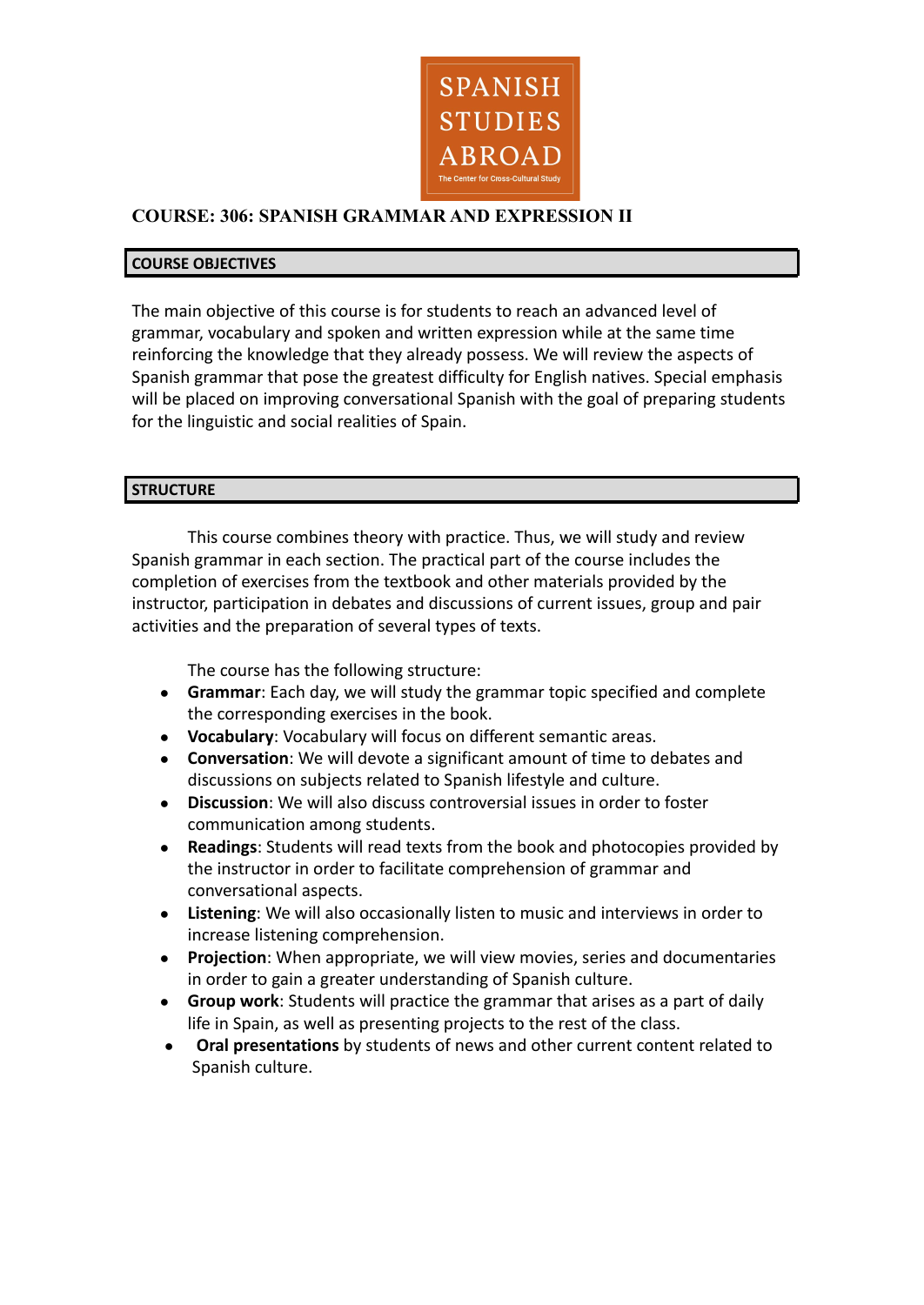

# **COURSE: 306: SPANISH GRAMMAR AND EXPRESSION II**

#### **COURSE OBJECTIVES**

The main objective of this course is for students to reach an advanced level of grammar, vocabulary and spoken and written expression while at the same time reinforcing the knowledge that they already possess. We will review the aspects of Spanish grammar that pose the greatest difficulty for English natives. Special emphasis will be placed on improving conversational Spanish with the goal of preparing students for the linguistic and social realities of Spain.

### **STRUCTURE**

This course combines theory with practice. Thus, we will study and review Spanish grammar in each section. The practical part of the course includes the completion of exercises from the textbook and other materials provided by the instructor, participation in debates and discussions of current issues, group and pair activities and the preparation of several types of texts.

The course has the following structure:

- **● Grammar**: Each day, we will study the grammar topic specified and complete the corresponding exercises in the book.
- **● Vocabulary**: Vocabulary will focus on different semantic areas.
- **● Conversation**: We will devote a significant amount of time to debates and discussions on subjects related to Spanish lifestyle and culture.
- **● Discussion**: We will also discuss controversial issues in order to foster communication among students.
- **● Readings**: Students will read texts from the book and photocopies provided by the instructor in order to facilitate comprehension of grammar and conversational aspects.
- **● Listening**: We will also occasionally listen to music and interviews in order to increase listening comprehension.
- **● Projection**: When appropriate, we will view movies, series and documentaries in order to gain a greater understanding of Spanish culture.
- **● Group work**: Students will practice the grammar that arises as a part of daily life in Spain, as well as presenting projects to the rest of the class.
- **● Oral presentations** by students of news and other current content related to Spanish culture.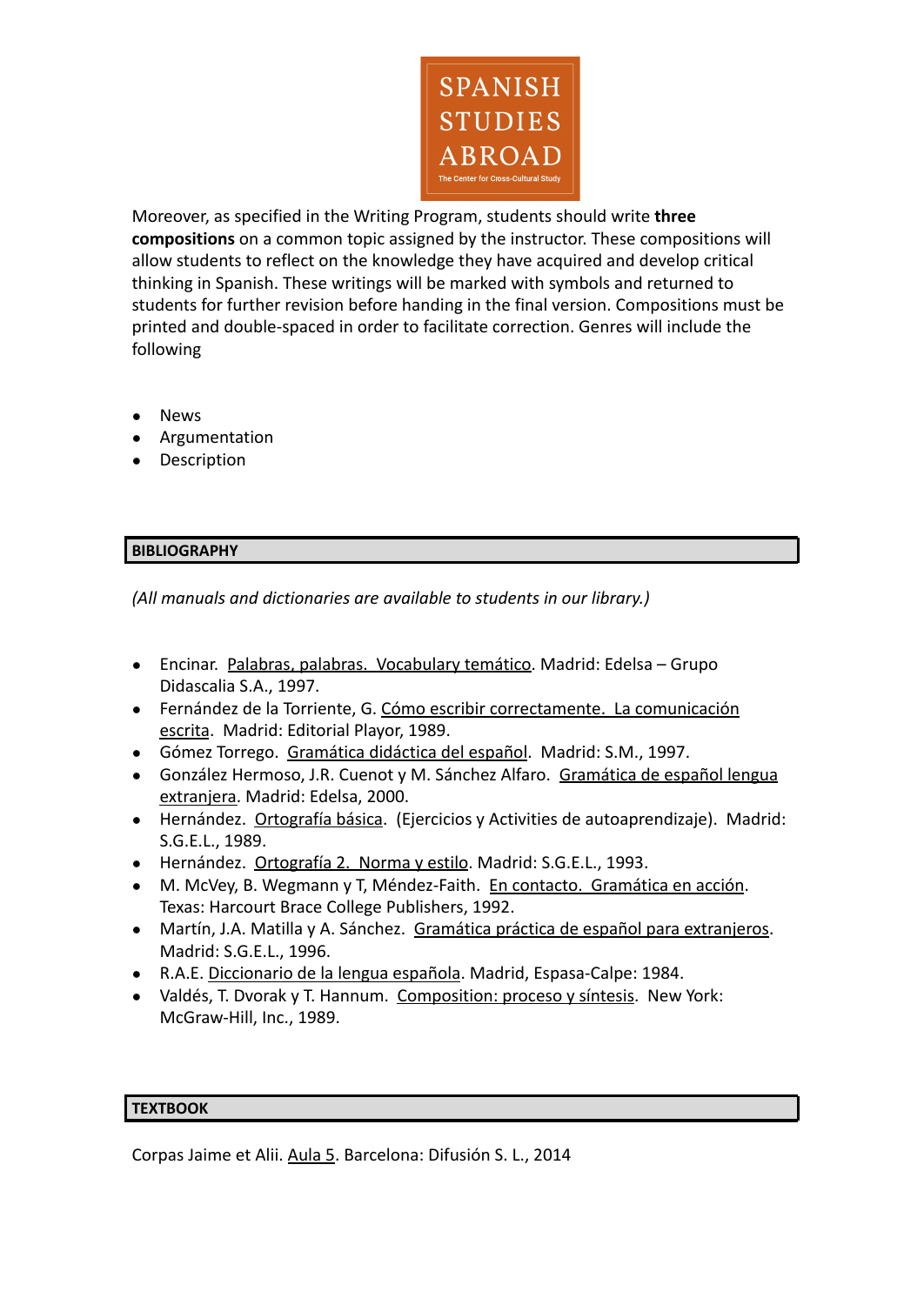

Moreover, as specified in the Writing Program, students should write **three compositions** on a common topic assigned by the instructor. These compositions will allow students to reflect on the knowledge they have acquired and develop critical thinking in Spanish. These writings will be marked with symbols and returned to students for further revision before handing in the final version. Compositions must be printed and double-spaced in order to facilitate correction. Genres will include the following

- **News**
- Argumentation
- Description

## **BIBLIOGRAPHY**

*(All manuals and dictionaries are available to students in our library.)*

- Encinar. Palabras, palabras. Vocabulary temático. Madrid: Edelsa Grupo Didascalia S.A., 1997.
- Fernández de la Torriente, G. Cómo escribir correctamente. La comunicación escrita. Madrid: Editorial Playor, 1989.
- Gómez Torrego. Gramática didáctica del español. Madrid: S.M., 1997.
- González Hermoso, J.R. Cuenot y M. Sánchez Alfaro. Gramática de español lengua extranjera. Madrid: Edelsa, 2000.
- Hernández. Ortografía básica. (Ejercicios y Activities de autoaprendizaje). Madrid: S.G.E.L., 1989.
- Hernández. Ortografía 2. Norma y estilo. Madrid: S.G.E.L., 1993.
- M. McVey, B. Wegmann y T, Méndez-Faith. En contacto. Gramática en acción. Texas: Harcourt Brace College Publishers, 1992.
- Martín, J.A. Matilla y A. Sánchez. Gramática práctica de español para extranjeros. Madrid: S.G.E.L., 1996.
- R.A.E. Diccionario de la lengua española. Madrid, Espasa-Calpe: 1984.
- Valdés, T. Dvorak y T. Hannum. Composition: proceso y síntesis. New York: McGraw-Hill, Inc., 1989.

#### **TEXTBOOK**

Corpas Jaime et Alii. Aula 5. Barcelona: Difusión S. L., 2014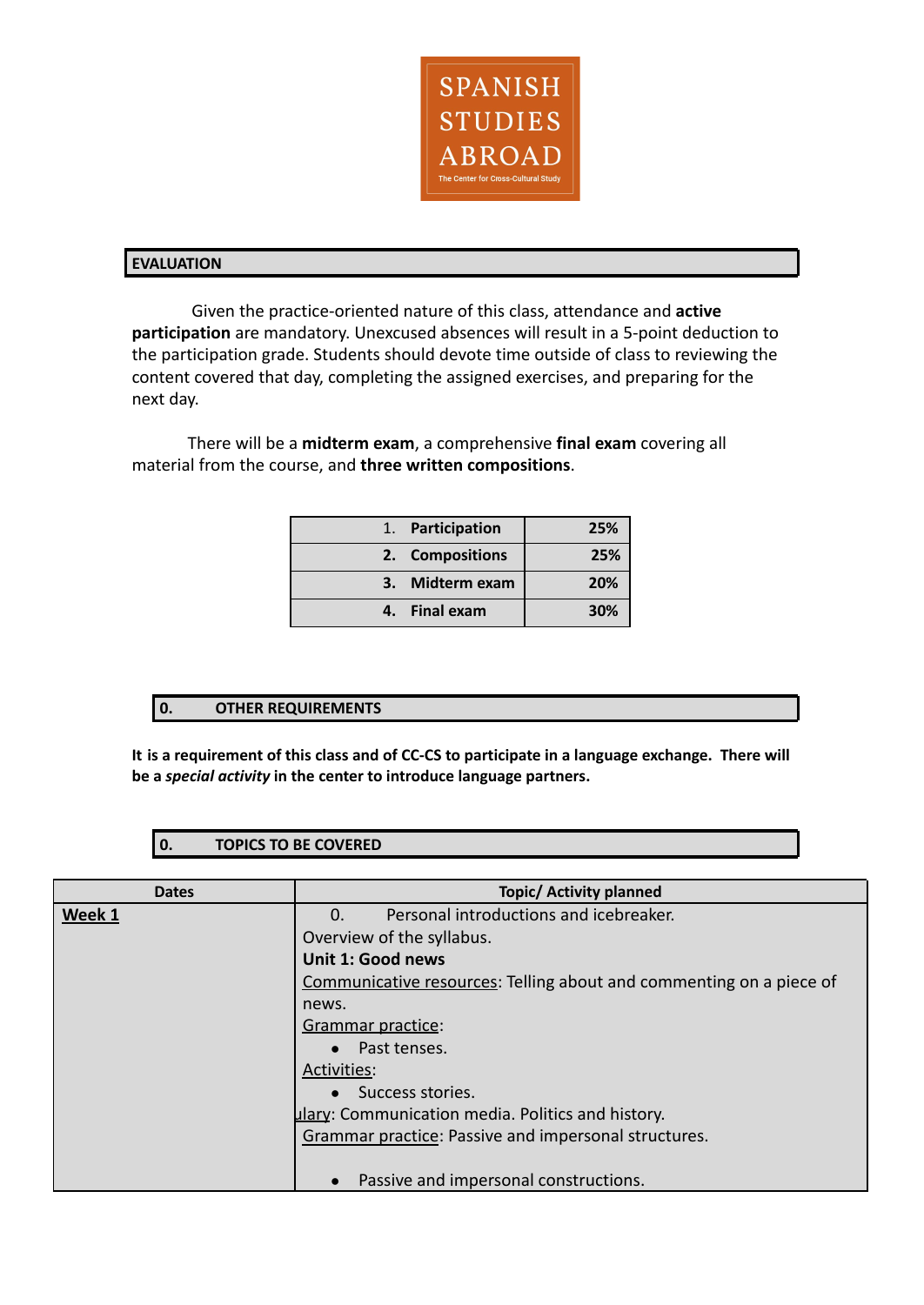

#### **EVALUATION**

Given the practice-oriented nature of this class, attendance and **active participation** are mandatory. Unexcused absences will result in a 5-point deduction to the participation grade. Students should devote time outside of class to reviewing the content covered that day, completing the assigned exercises, and preparing for the next day.

There will be a **midterm exam**, a comprehensive **final exam** covering all material from the course, and **three written compositions**.

| 1. Participation | 25% |
|------------------|-----|
| 2. Compositions  | 25% |
| 3. Midterm exam  | 20% |
| 4. Final exam    | 30% |

#### **0. OTHER REQUIREMENTS**

**It is a requirement of this class and of CC-CS to participate in a language exchange. There will be a** *special activity* **in the center to introduce language partners.**

### **0. TOPICS TO BE COVERED**

| <b>Dates</b> | <b>Topic/ Activity planned</b>                                      |
|--------------|---------------------------------------------------------------------|
| Week 1       | Personal introductions and icebreaker.<br>$\Omega$ .                |
|              | Overview of the syllabus.                                           |
|              | Unit 1: Good news                                                   |
|              | Communicative resources: Telling about and commenting on a piece of |
|              | news.                                                               |
|              | Grammar practice:                                                   |
|              | Past tenses.                                                        |
|              | Activities:                                                         |
|              | Success stories.                                                    |
|              | ulary: Communication media. Politics and history.                   |
|              | Grammar practice: Passive and impersonal structures.                |
|              |                                                                     |
|              | Passive and impersonal constructions.                               |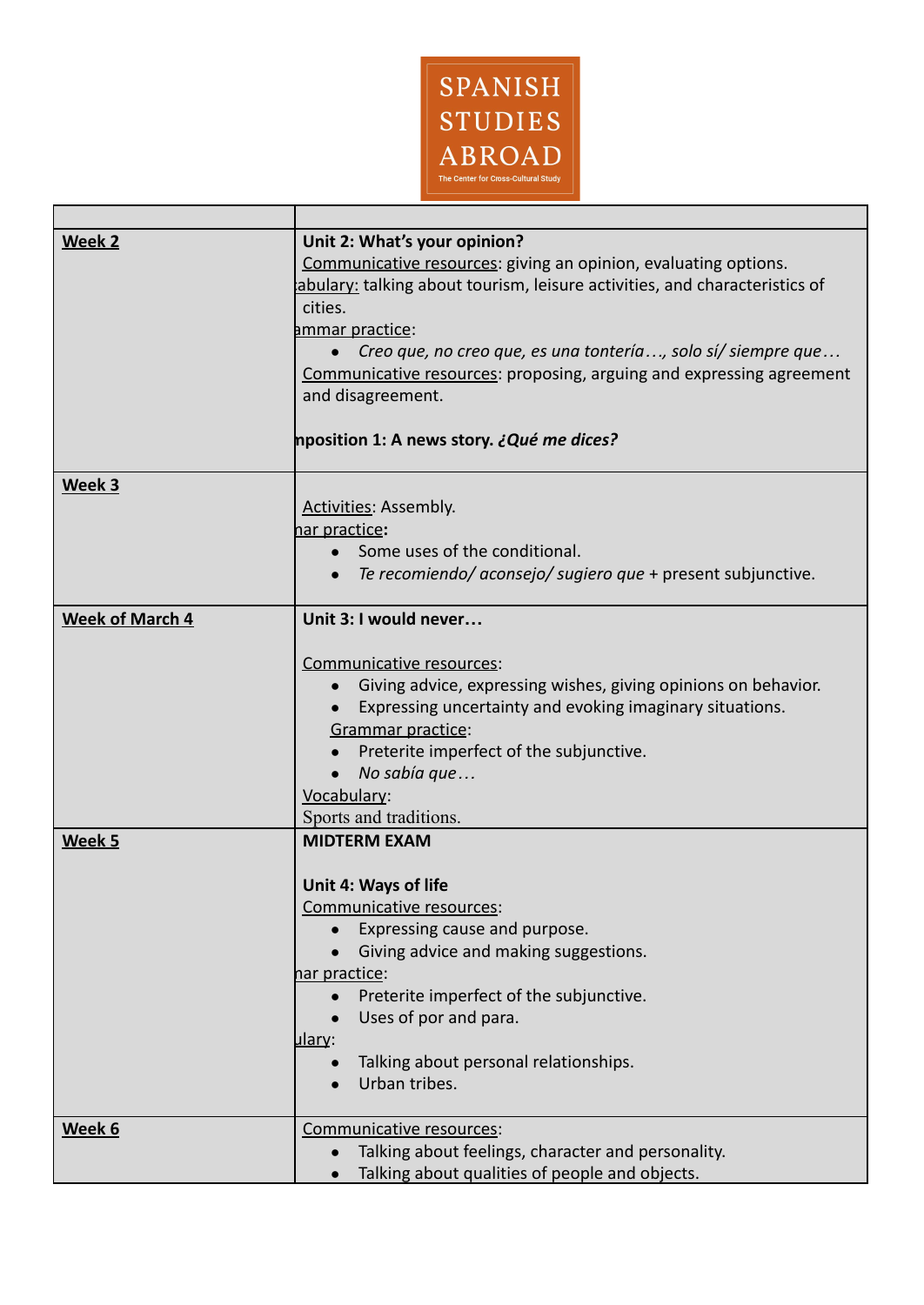

г

| Week 2                 | Unit 2: What's your opinion?<br>Communicative resources: giving an opinion, evaluating options.<br>abulary: talking about tourism, leisure activities, and characteristics of<br>cities.<br>ammar practice:<br>Creo que, no creo que, es una tontería, solo sí/ siempre que<br>Communicative resources: proposing, arguing and expressing agreement<br>and disagreement.<br>hposition 1: A news story. ¿ <i>Qué me dices?</i> |
|------------------------|-------------------------------------------------------------------------------------------------------------------------------------------------------------------------------------------------------------------------------------------------------------------------------------------------------------------------------------------------------------------------------------------------------------------------------|
| Week 3                 |                                                                                                                                                                                                                                                                                                                                                                                                                               |
|                        | Activities: Assembly.<br>nar practice:<br>Some uses of the conditional.<br>$\bullet$<br>Te recomiendo/ aconsejo/ sugiero que + present subjunctive.<br>$\bullet$                                                                                                                                                                                                                                                              |
| <b>Week of March 4</b> | Unit 3: I would never                                                                                                                                                                                                                                                                                                                                                                                                         |
|                        |                                                                                                                                                                                                                                                                                                                                                                                                                               |
|                        | Communicative resources:<br>Giving advice, expressing wishes, giving opinions on behavior.<br>$\bullet$<br>Expressing uncertainty and evoking imaginary situations.<br>Grammar practice:<br>Preterite imperfect of the subjunctive.<br>No sabía que<br>Vocabulary:<br>Sports and traditions.                                                                                                                                  |
| Week 5                 | <b>MIDTERM EXAM</b>                                                                                                                                                                                                                                                                                                                                                                                                           |
|                        | <b>Unit 4: Ways of life</b><br>Communicative resources:<br>Expressing cause and purpose.<br>Giving advice and making suggestions.<br>har practice:<br>Preterite imperfect of the subjunctive.<br>Uses of por and para.<br><u>ulary</u> :<br>Talking about personal relationships.<br>Urban tribes.                                                                                                                            |
| Week 6                 | Communicative resources:                                                                                                                                                                                                                                                                                                                                                                                                      |
|                        | Talking about feelings, character and personality.                                                                                                                                                                                                                                                                                                                                                                            |
|                        | Talking about qualities of people and objects.                                                                                                                                                                                                                                                                                                                                                                                |